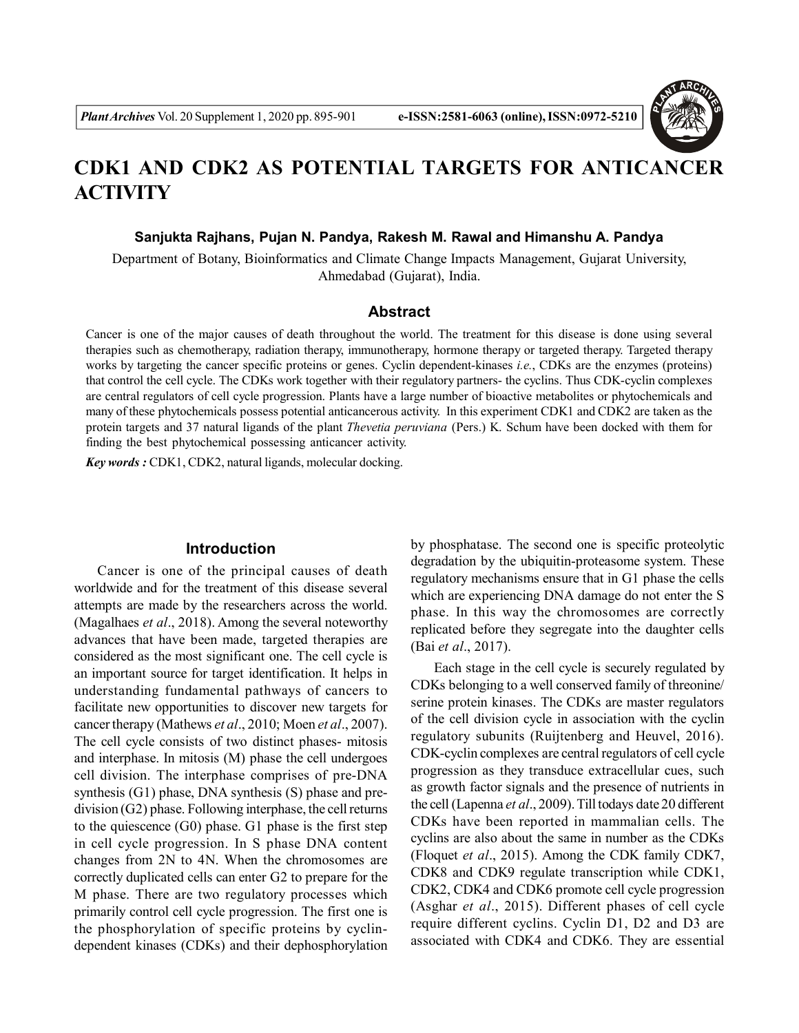

# **CDK1 AND CDK2 AS POTENTIAL TARGETS FOR ANTICANCER ACTIVITY**

**Sanjukta Rajhans, Pujan N. Pandya, Rakesh M. Rawal and Himanshu A. Pandya**

Department of Botany, Bioinformatics and Climate Change Impacts Management, Gujarat University, Ahmedabad (Gujarat), India.

# **Abstract**

Cancer is one of the major causes of death throughout the world. The treatment for this disease is done using several therapies such as chemotherapy, radiation therapy, immunotherapy, hormone therapy or targeted therapy. Targeted therapy works by targeting the cancer specific proteins or genes. Cyclin dependent-kinases *i.e.*, CDKs are the enzymes (proteins) that control the cell cycle. The CDKs work together with their regulatory partners- the cyclins. Thus CDK-cyclin complexes are central regulators of cell cycle progression. Plants have a large number of bioactive metabolites or phytochemicals and many of these phytochemicals possess potential anticancerous activity. In this experiment CDK1 and CDK2 are taken as the protein targets and 37 natural ligands of the plant *Thevetia peruviana* (Pers.) K. Schum have been docked with them for finding the best phytochemical possessing anticancer activity.

*Key words :* CDK1, CDK2, natural ligands, molecular docking.

#### **Introduction**

Cancer is one of the principal causes of death worldwide and for the treatment of this disease several attempts are made by the researchers across the world. (Magalhaes *et al*., 2018). Among the several noteworthy advances that have been made, targeted therapies are considered as the most significant one. The cell cycle is an important source for target identification. It helps in understanding fundamental pathways of cancers to facilitate new opportunities to discover new targets for cancer therapy (Mathews *et al*., 2010; Moen *et al*., 2007). The cell cycle consists of two distinct phases- mitosis and interphase. In mitosis (M) phase the cell undergoes cell division. The interphase comprises of pre-DNA synthesis (G1) phase, DNA synthesis (S) phase and predivision (G2) phase. Following interphase, the cell returns to the quiescence (G0) phase. G1 phase is the first step in cell cycle progression. In S phase DNA content changes from 2N to 4N. When the chromosomes are correctly duplicated cells can enter G2 to prepare for the M phase. There are two regulatory processes which primarily control cell cycle progression. The first one is the phosphorylation of specific proteins by cyclindependent kinases (CDKs) and their dephosphorylation

by phosphatase. The second one is specific proteolytic degradation by the ubiquitin-proteasome system. These regulatory mechanisms ensure that in G1 phase the cells which are experiencing DNA damage do not enter the S phase. In this way the chromosomes are correctly replicated before they segregate into the daughter cells (Bai *et al*., 2017).

Each stage in the cell cycle is securely regulated by CDKs belonging to a well conserved family of threonine/ serine protein kinases. The CDKs are master regulators of the cell division cycle in association with the cyclin regulatory subunits (Ruijtenberg and Heuvel, 2016). CDK-cyclin complexes are central regulators of cell cycle progression as they transduce extracellular cues, such as growth factor signals and the presence of nutrients in the cell (Lapenna *et al*., 2009). Till todays date 20 different CDKs have been reported in mammalian cells. The cyclins are also about the same in number as the CDKs (Floquet *et al*., 2015). Among the CDK family CDK7, CDK8 and CDK9 regulate transcription while CDK1, CDK2, CDK4 and CDK6 promote cell cycle progression (Asghar *et al*., 2015). Different phases of cell cycle require different cyclins. Cyclin D1, D2 and D3 are associated with CDK4 and CDK6. They are essential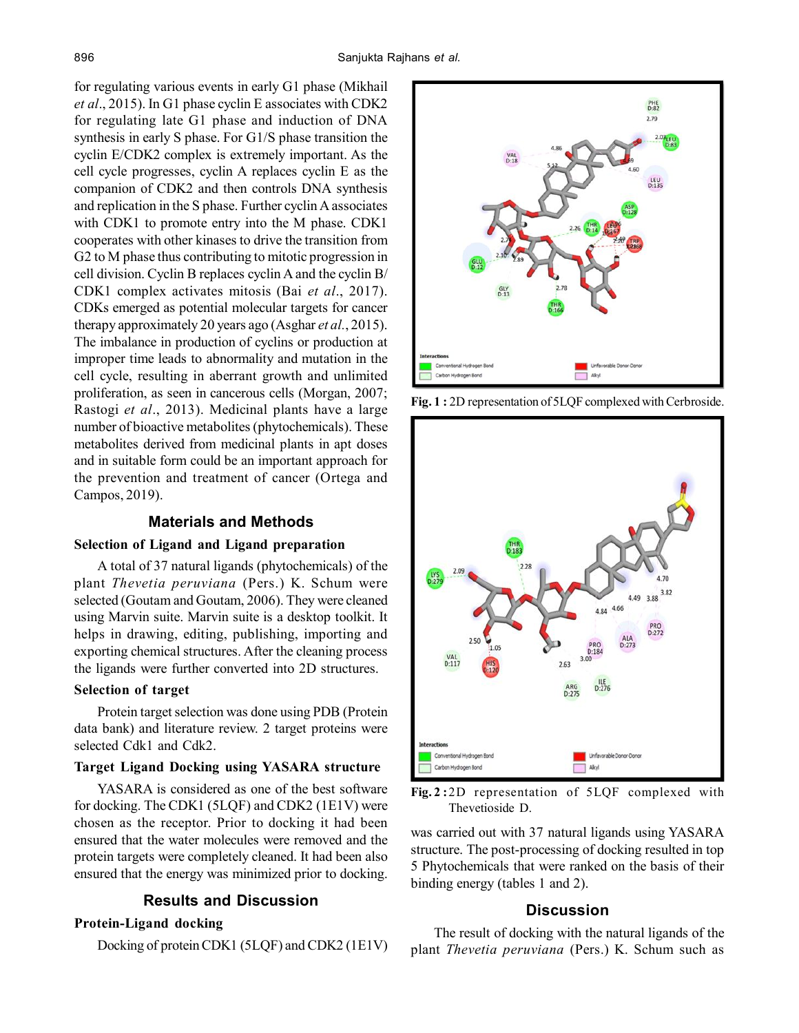for regulating various events in early G1 phase (Mikhail *et al*., 2015). In G1 phase cyclin E associates with CDK2 for regulating late G1 phase and induction of DNA synthesis in early S phase. For G1/S phase transition the cyclin E/CDK2 complex is extremely important. As the cell cycle progresses, cyclin A replaces cyclin E as the companion of CDK2 and then controls DNA synthesis and replication in the S phase. Further cyclin A associates with CDK1 to promote entry into the M phase. CDK1 cooperates with other kinases to drive the transition from G2 to M phase thus contributing to mitotic progression in cell division. Cyclin B replaces cyclin A and the cyclin B/ CDK1 complex activates mitosis (Bai *et al*., 2017). CDKs emerged as potential molecular targets for cancer therapy approximately 20 years ago (Asghar *et al.*, 2015). The imbalance in production of cyclins or production at improper time leads to abnormality and mutation in the cell cycle, resulting in aberrant growth and unlimited proliferation, as seen in cancerous cells (Morgan, 2007; Rastogi *et al*., 2013). Medicinal plants have a large number of bioactive metabolites (phytochemicals). These metabolites derived from medicinal plants in apt doses and in suitable form could be an important approach for the prevention and treatment of cancer (Ortega and Campos, 2019).

## **Materials and Methods**

## **Selection of Ligand and Ligand preparation**

A total of 37 natural ligands (phytochemicals) of the plant *Thevetia peruviana* (Pers.) K. Schum were selected (Goutam and Goutam, 2006). They were cleaned using Marvin suite. Marvin suite is a desktop toolkit. It helps in drawing, editing, publishing, importing and exporting chemical structures. After the cleaning process the ligands were further converted into 2D structures.

#### **Selection of target**

Protein target selection was done using PDB (Protein data bank) and literature review. 2 target proteins were selected Cdk1 and Cdk2.

# **Target Ligand Docking using YASARA structure**

YASARA is considered as one of the best software for docking. The CDK1 (5LQF) and CDK2 (1E1V) were chosen as the receptor. Prior to docking it had been ensured that the water molecules were removed and the protein targets were completely cleaned. It had been also ensured that the energy was minimized prior to docking.

## **Results and Discussion**

# **Protein-Ligand docking**

Docking of protein CDK1 (5LQF) and CDK2 (1E1V)



**Fig. 1 :** 2D representation of 5LQF complexed with Cerbroside.



**Fig. 2 :**2D representation of 5LQF complexed with Thevetioside D.

was carried out with 37 natural ligands using YASARA structure. The post-processing of docking resulted in top 5 Phytochemicals that were ranked on the basis of their binding energy (tables 1 and 2).

# **Discussion**

The result of docking with the natural ligands of the plant *Thevetia peruviana* (Pers.) K. Schum such as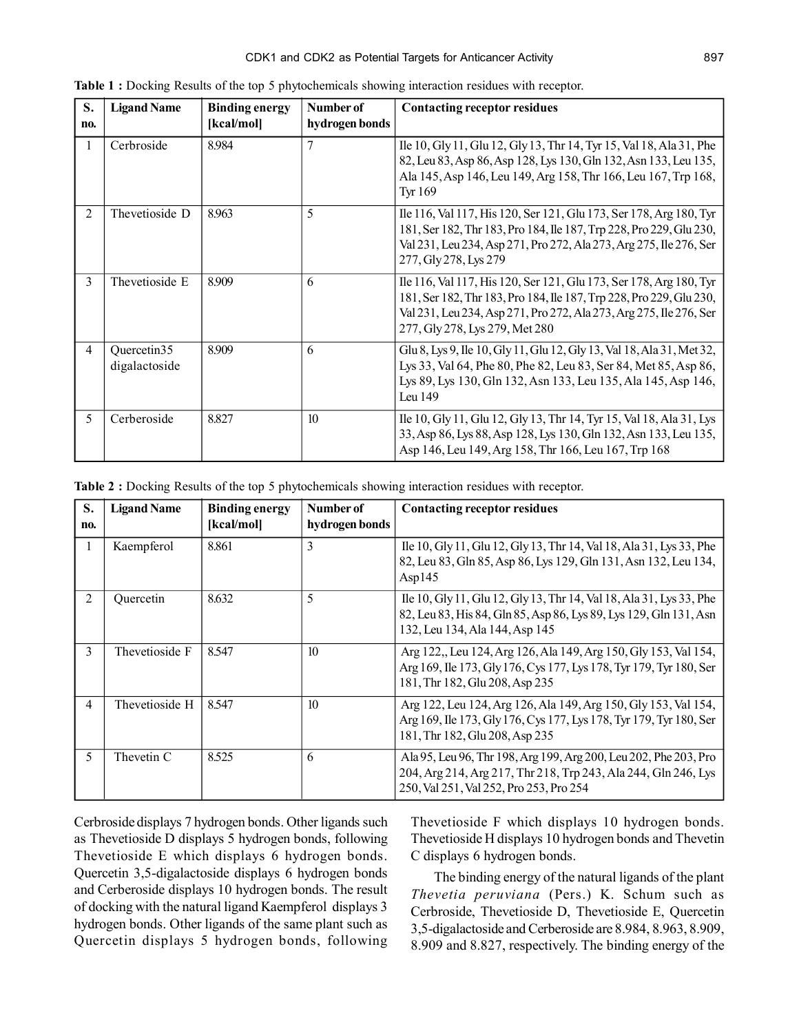| S.<br>no. | <b>Ligand Name</b>           | <b>Binding energy</b><br>[kcal/mol] | Number of<br>hydrogen bonds | <b>Contacting receptor residues</b>                                                                                                                                                                                                               |
|-----------|------------------------------|-------------------------------------|-----------------------------|---------------------------------------------------------------------------------------------------------------------------------------------------------------------------------------------------------------------------------------------------|
| 1         | Cerbroside                   | 8.984                               | 7                           | Ile 10, Gly 11, Glu 12, Gly 13, Thr 14, Tyr 15, Val 18, Ala 31, Phe<br>82, Leu 83, Asp 86, Asp 128, Lys 130, Gln 132, Asn 133, Leu 135,<br>Ala 145, Asp 146, Leu 149, Arg 158, Thr 166, Leu 167, Trp 168,<br>Tyr 169                              |
| 2         | Thevetioside D               | 8.963                               | 5                           | Ile 116, Val 117, His 120, Ser 121, Glu 173, Ser 178, Arg 180, Tyr<br>181, Ser 182, Thr 183, Pro 184, Ile 187, Trp 228, Pro 229, Glu 230,<br>Val 231, Leu 234, Asp 271, Pro 272, Ala 273, Arg 275, Ile 276, Ser<br>277, Gly 278, Lys 279          |
| 3         | Thevetioside E               | 8.909                               | 6                           | Ile 116, Val 117, His 120, Ser 121, Glu 173, Ser 178, Arg 180, Tyr<br>181, Ser 182, Thr 183, Pro 184, Ile 187, Trp 228, Pro 229, Glu 230,<br>Val 231, Leu 234, Asp 271, Pro 272, Ala 273, Arg 275, Ile 276, Ser<br>277, Gly 278, Lys 279, Met 280 |
| 4         | Quercetin35<br>digalactoside | 8.909                               | 6                           | Glu 8, Lys 9, Ile 10, Gly 11, Glu 12, Gly 13, Val 18, Ala 31, Met 32,<br>Lys 33, Val 64, Phe 80, Phe 82, Leu 83, Ser 84, Met 85, Asp 86,<br>Lys 89, Lys 130, Gln 132, Asn 133, Leu 135, Ala 145, Asp 146,<br>Leu $149$                            |
| 5         | Cerberoside                  | 8.827                               | 10                          | Ile 10, Gly 11, Glu 12, Gly 13, Thr 14, Tyr 15, Val 18, Ala 31, Lys<br>33, Asp 86, Lys 88, Asp 128, Lys 130, Gln 132, Asn 133, Leu 135,<br>Asp 146, Leu 149, Arg 158, Thr 166, Leu 167, Trp 168                                                   |

**Table 1 :** Docking Results of the top 5 phytochemicals showing interaction residues with receptor.

**Table 2 :** Docking Results of the top 5 phytochemicals showing interaction residues with receptor.

| S.             | <b>Ligand Name</b> | <b>Binding energy</b> | Number of      | <b>Contacting receptor residues</b>                                                                                                                                           |
|----------------|--------------------|-----------------------|----------------|-------------------------------------------------------------------------------------------------------------------------------------------------------------------------------|
| no.            |                    | [kcal/mol]            | hydrogen bonds |                                                                                                                                                                               |
| 1              | Kaempferol         | 8.861                 | 3              | Ile 10, Gly 11, Glu 12, Gly 13, Thr 14, Val 18, Ala 31, Lys 33, Phe<br>82, Leu 83, Gln 85, Asp 86, Lys 129, Gln 131, Asn 132, Leu 134,<br>Asp $145$                           |
| 2              | Quercetin          | 8.632                 | 5              | Ile 10, Gly 11, Glu 12, Gly 13, Thr 14, Val 18, Ala 31, Lys 33, Phe<br>82, Leu 83, His 84, Gln 85, Asp 86, Lys 89, Lys 129, Gln 131, Asn<br>132, Leu 134, Ala 144, Asp 145    |
| $\mathfrak{Z}$ | Thevetioside F     | 8.547                 | 10             | Arg 122, Leu 124, Arg 126, Ala 149, Arg 150, Gly 153, Val 154,<br>Arg 169, Ile 173, Gly 176, Cys 177, Lys 178, Tyr 179, Tyr 180, Ser<br>181, Thr 182, Glu 208, Asp 235        |
| 4              | Thevetioside H     | 8.547                 | 10             | Arg 122, Leu 124, Arg 126, Ala 149, Arg 150, Gly 153, Val 154,<br>Arg 169, Ile 173, Gly 176, Cys 177, Lys 178, Tyr 179, Tyr 180, Ser<br>181, Thr 182, Glu 208, Asp 235        |
| 5              | Thevetin C         | 8.525                 | 6              | Ala 95, Leu 96, Thr 198, Arg 199, Arg 200, Leu 202, Phe 203, Pro<br>204, Arg 214, Arg 217, Thr 218, Trp 243, Ala 244, Gln 246, Lys<br>250, Val 251, Val 252, Pro 253, Pro 254 |

Cerbroside displays 7 hydrogen bonds. Other ligands such as Thevetioside D displays 5 hydrogen bonds, following Thevetioside E which displays 6 hydrogen bonds. Quercetin 3,5-digalactoside displays 6 hydrogen bonds and Cerberoside displays 10 hydrogen bonds. The result of docking with the natural ligand Kaempferol displays 3 hydrogen bonds. Other ligands of the same plant such as Quercetin displays 5 hydrogen bonds, following

Thevetioside F which displays 10 hydrogen bonds. Thevetioside H displays 10 hydrogen bonds and Thevetin C displays 6 hydrogen bonds.

The binding energy of the natural ligands of the plant *Thevetia peruviana* (Pers.) K. Schum such as Cerbroside, Thevetioside D, Thevetioside E, Quercetin 3,5-digalactoside and Cerberoside are 8.984, 8.963, 8.909, 8.909 and 8.827, respectively. The binding energy of the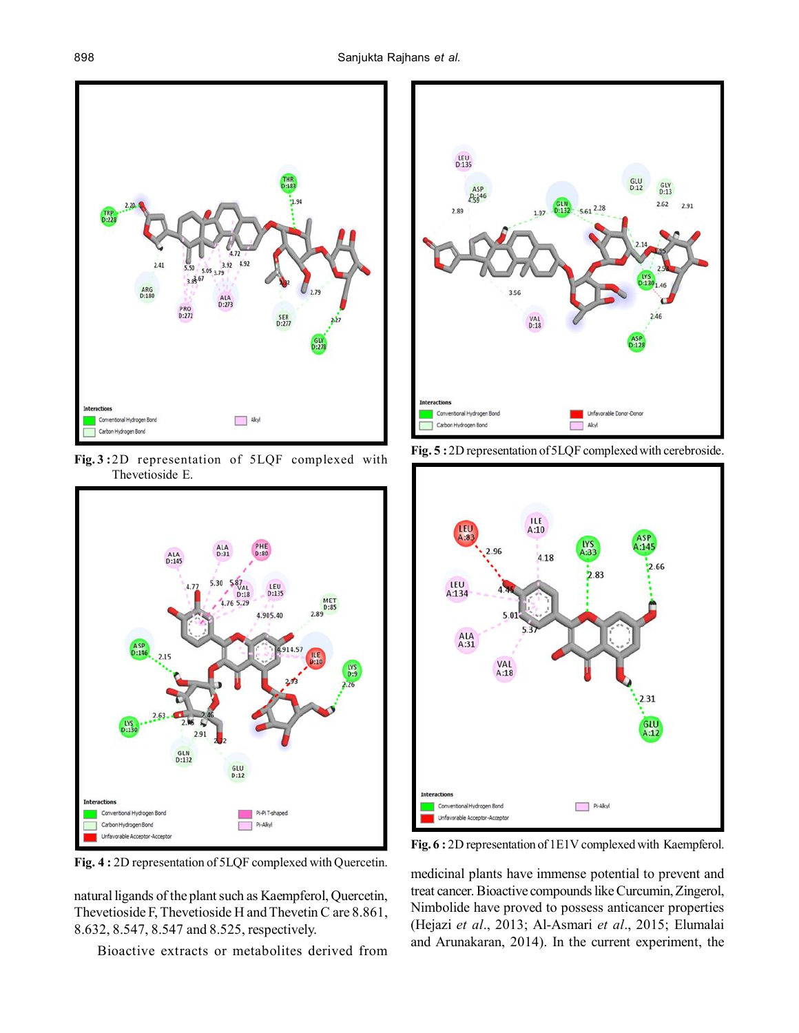898 Sanjukta Rajhans *et al.*



**Fig. 3 :**2D representation of 5LQF complexed with Thevetioside E.



**Fig. 4 :** 2D representation of 5LQF complexed with Quercetin.

natural ligands of the plant such as Kaempferol, Quercetin, Thevetioside F, Thevetioside H and Thevetin C are 8.861, 8.632, 8.547, 8.547 and 8.525, respectively.

Bioactive extracts or metabolites derived from



**Fig. 5 :**2D representation of 5LQF complexed with cerebroside.



**Fig. 6 :** 2D representation of 1E1V complexed with Kaempferol.

medicinal plants have immense potential to prevent and treat cancer. Bioactive compounds like Curcumin, Zingerol, Nimbolide have proved to possess anticancer properties (Hejazi *et al*., 2013; Al-Asmari *et al*., 2015; Elumalai and Arunakaran, 2014). In the current experiment, the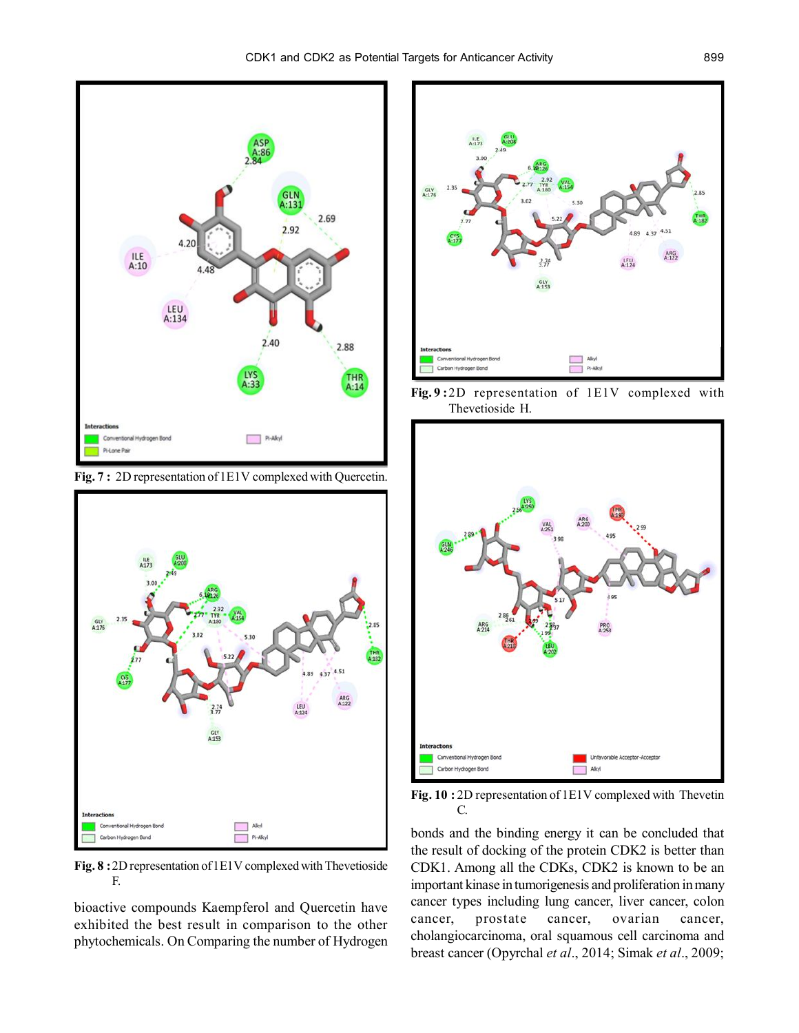

**Fig. 7 :** 2D representation of 1E1V complexed with Quercetin.



**Fig. 8 :**2D representation of 1E1V complexed with Thevetioside F.

bioactive compounds Kaempferol and Quercetin have exhibited the best result in comparison to the other phytochemicals. On Comparing the number of Hydrogen



**Fig. 9 :**2D representation of 1E1V complexed with Thevetioside H.



**Fig. 10 :** 2D representation of 1E1V complexed with Thevetin C.

bonds and the binding energy it can be concluded that the result of docking of the protein CDK2 is better than CDK1. Among all the CDKs, CDK2 is known to be an important kinase in tumorigenesis and proliferation in many cancer types including lung cancer, liver cancer, colon cancer, prostate cancer, ovarian cancer, cholangiocarcinoma, oral squamous cell carcinoma and breast cancer (Opyrchal *et al*., 2014; Simak *et al*., 2009;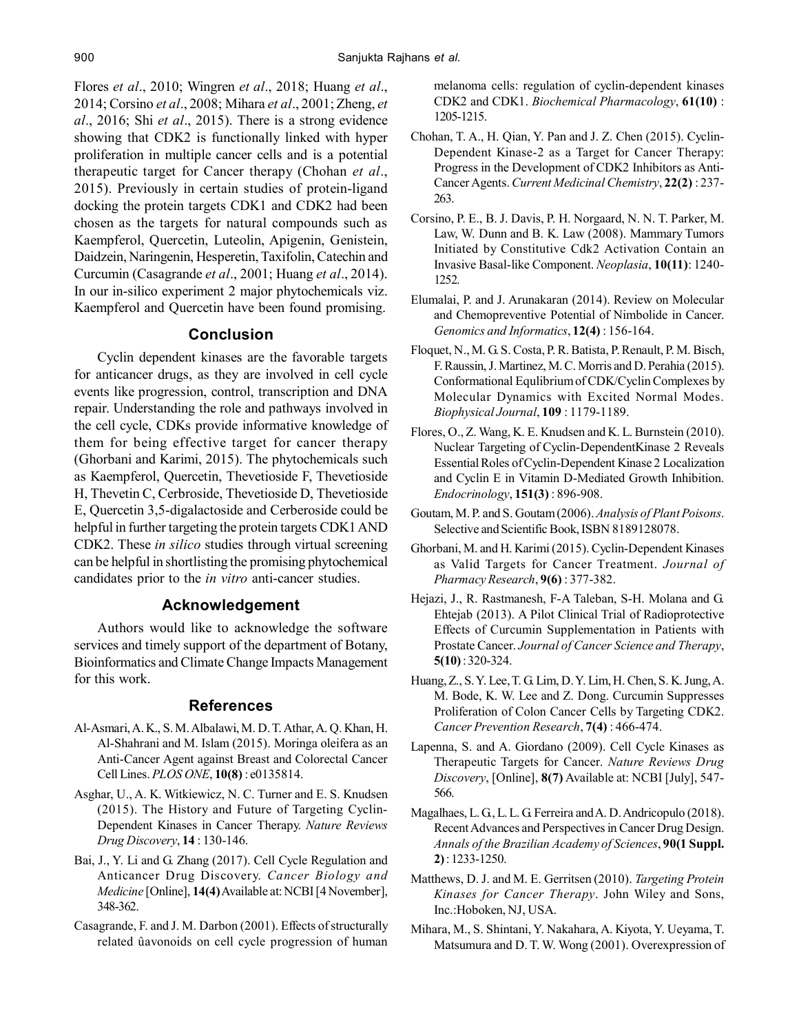Flores *et al*., 2010; Wingren *et al*., 2018; Huang *et al*., 2014; Corsino *et al*., 2008; Mihara *et al*., 2001; Zheng, *et al*., 2016; Shi *et al*., 2015). There is a strong evidence showing that CDK2 is functionally linked with hyper proliferation in multiple cancer cells and is a potential therapeutic target for Cancer therapy (Chohan *et al*., 2015). Previously in certain studies of protein-ligand docking the protein targets CDK1 and CDK2 had been chosen as the targets for natural compounds such as Kaempferol, Quercetin, Luteolin, Apigenin, Genistein, Daidzein, Naringenin, Hesperetin, Taxifolin, Catechin and Curcumin (Casagrande *et al*., 2001; Huang *et al*., 2014). In our in-silico experiment 2 major phytochemicals viz. Kaempferol and Quercetin have been found promising.

### **Conclusion**

Cyclin dependent kinases are the favorable targets for anticancer drugs, as they are involved in cell cycle events like progression, control, transcription and DNA repair. Understanding the role and pathways involved in the cell cycle, CDKs provide informative knowledge of them for being effective target for cancer therapy (Ghorbani and Karimi, 2015). The phytochemicals such as Kaempferol, Quercetin, Thevetioside F, Thevetioside H, Thevetin C, Cerbroside, Thevetioside D, Thevetioside E, Quercetin 3,5-digalactoside and Cerberoside could be helpful in further targeting the protein targets CDK1 AND CDK2. These *in silico* studies through virtual screening can be helpful in shortlisting the promising phytochemical candidates prior to the *in vitro* anti-cancer studies.

### **Acknowledgement**

Authors would like to acknowledge the software services and timely support of the department of Botany, Bioinformatics and Climate Change Impacts Management for this work.

#### **References**

- Al-Asmari, A. K., S. M. Albalawi, M. D. T. Athar, A. Q. Khan, H. Al-Shahrani and M. Islam (2015). Moringa oleifera as an Anti-Cancer Agent against Breast and Colorectal Cancer Cell Lines. *PLOS ONE*, **10(8)** : e0135814.
- Asghar, U., A. K. Witkiewicz, N. C. Turner and E. S. Knudsen (2015). The History and Future of Targeting Cyclin-Dependent Kinases in Cancer Therapy. *Nature Reviews Drug Discovery*, **14** : 130-146.
- Bai, J., Y. Li and G. Zhang (2017). Cell Cycle Regulation and Anticancer Drug Discovery. *Cancer Biology and Medicine* [Online], **14(4)** Available at: NCBI [4 November], 348-362.
- Casagrande, F. and J. M. Darbon (2001). Effects of structurally related ûavonoids on cell cycle progression of human

melanoma cells: regulation of cyclin-dependent kinases CDK2 and CDK1. *Biochemical Pharmacology*, **61(10)** : 1205-1215.

- Chohan, T. A., H. Qian, Y. Pan and J. Z. Chen (2015). Cyclin-Dependent Kinase-2 as a Target for Cancer Therapy: Progress in the Development of CDK2 Inhibitors as Anti-Cancer Agents. *Current Medicinal Chemistry*, **22(2)** : 237- 263.
- Corsino, P. E., B. J. Davis, P. H. Norgaard, N. N. T. Parker, M. Law, W. Dunn and B. K. Law (2008). Mammary Tumors Initiated by Constitutive Cdk2 Activation Contain an Invasive Basal-like Component. *Neoplasia*, **10(11)**: 1240- 1252.
- Elumalai, P. and J. Arunakaran (2014). Review on Molecular and Chemopreventive Potential of Nimbolide in Cancer. *Genomics and Informatics*, **12(4)** : 156-164.
- Floquet, N., M. G. S. Costa, P. R. Batista, P. Renault, P. M. Bisch, F. Raussin, J. Martinez, M. C. Morris and D. Perahia (2015). Conformational Equlibrium of CDK/Cyclin Complexes by Molecular Dynamics with Excited Normal Modes. *Biophysical Journal*, **109** : 1179-1189.
- Flores, O., Z. Wang, K. E. Knudsen and K. L. Burnstein (2010). Nuclear Targeting of Cyclin-DependentKinase 2 Reveals Essential Roles of Cyclin-Dependent Kinase 2 Localization and Cyclin E in Vitamin D-Mediated Growth Inhibition. *Endocrinology*, **151(3)** : 896-908.
- Goutam, M. P. and S. Goutam (2006). *Analysis of Plant Poisons*. Selective and Scientific Book, ISBN 8189128078.
- Ghorbani, M. and H. Karimi (2015). Cyclin-Dependent Kinases as Valid Targets for Cancer Treatment. *Journal of Pharmacy Research*, **9(6)** : 377-382.
- Hejazi, J., R. Rastmanesh, F-A Taleban, S-H. Molana and G. Ehtejab (2013). A Pilot Clinical Trial of Radioprotective Effects of Curcumin Supplementation in Patients with Prostate Cancer. *Journal of Cancer Science and Therapy*, **5(10)** : 320-324.
- Huang, Z., S. Y. Lee, T. G. Lim, D. Y. Lim, H. Chen, S. K. Jung, A. M. Bode, K. W. Lee and Z. Dong. Curcumin Suppresses Proliferation of Colon Cancer Cells by Targeting CDK2. *Cancer Prevention Research*, **7(4)** : 466-474.
- Lapenna, S. and A. Giordano (2009). Cell Cycle Kinases as Therapeutic Targets for Cancer. *Nature Reviews Drug Discovery*, [Online], **8(7)** Available at: NCBI [July], 547- 566.
- Magalhaes, L. G., L. L. G. Ferreira and A. D. Andricopulo (2018). Recent Advances and Perspectives in Cancer Drug Design. *Annals of the Brazilian Academy of Sciences*, **90(1 Suppl. 2)** : 1233-1250.
- Matthews, D. J. and M. E. Gerritsen (2010). *Targeting Protein Kinases for Cancer Therapy*. John Wiley and Sons, Inc.:Hoboken, NJ, USA.
- Mihara, M., S. Shintani, Y. Nakahara, A. Kiyota, Y. Ueyama, T. Matsumura and D. T. W. Wong (2001). Overexpression of